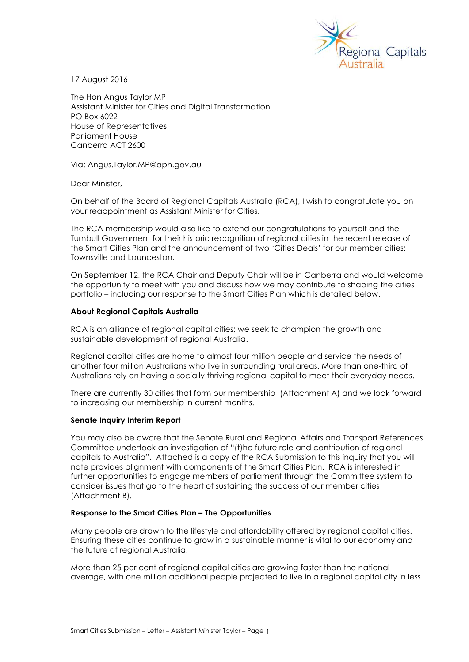

17 August 2016

The Hon Angus Taylor MP Assistant Minister for Cities and Digital Transformation PO Box 6022 House of Representatives Parliament House Canberra ACT 2600

Via: Angus.Taylor.MP@aph.gov.au

Dear Minister,

On behalf of the Board of Regional Capitals Australia (RCA), I wish to congratulate you on your reappointment as Assistant Minister for Cities.

The RCA membership would also like to extend our congratulations to yourself and the Turnbull Government for their historic recognition of regional cities in the recent release of the Smart Cities Plan and the announcement of two 'Cities Deals' for our member cities: Townsville and Launceston.

On September 12, the RCA Chair and Deputy Chair will be in Canberra and would welcome the opportunity to meet with you and discuss how we may contribute to shaping the cities portfolio – including our response to the Smart Cities Plan which is detailed below.

## **About Regional Capitals Australia**

RCA is an alliance of regional capital cities; we seek to champion the growth and sustainable development of regional Australia.

Regional capital cities are home to almost four million people and service the needs of another four million Australians who live in surrounding rural areas. More than one-third of Australians rely on having a socially thriving regional capital to meet their everyday needs.

There are currently 30 cities that form our membership (Attachment A) and we look forward to increasing our membership in current months.

### **Senate Inquiry Interim Report**

You may also be aware that the Senate Rural and Regional Affairs and Transport References Committee undertook an investigation of "(t)he future role and contribution of regional capitals to Australia". Attached is a copy of the RCA Submission to this inquiry that you will note provides alignment with components of the Smart Cities Plan. RCA is interested in further opportunities to engage members of parliament through the Committee system to consider issues that go to the heart of sustaining the success of our member cities (Attachment B).

# **Response to the Smart Cities Plan – The Opportunities**

Many people are drawn to the lifestyle and affordability offered by regional capital cities. Ensuring these cities continue to grow in a sustainable manner is vital to our economy and the future of regional Australia.

More than 25 per cent of regional capital cities are growing faster than the national average, with one million additional people projected to live in a regional capital city in less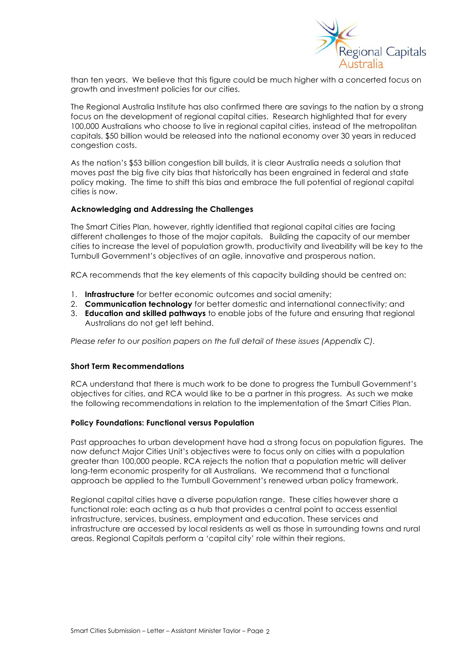

than ten years. We believe that this figure could be much higher with a concerted focus on growth and investment policies for our cities.

The Regional Australia Institute has also confirmed there are savings to the nation by a strong focus on the development of regional capital cities. Research highlighted that for every 100,000 Australians who choose to live in regional capital cities, instead of the metropolitan capitals, \$50 billion would be released into the national economy over 30 years in reduced congestion costs.

As the nation's \$53 billion congestion bill builds, it is clear Australia needs a solution that moves past the big five city bias that historically has been engrained in federal and state policy making. The time to shift this bias and embrace the full potential of regional capital cities is now.

## **Acknowledging and Addressing the Challenges**

The Smart Cities Plan, however, rightly identified that regional capital cities are facing different challenges to those of the major capitals. Building the capacity of our member cities to increase the level of population growth, productivity and liveability will be key to the Turnbull Government's objectives of an agile, innovative and prosperous nation.

RCA recommends that the key elements of this capacity building should be centred on:

- 1. **Infrastructure** for better economic outcomes and social amenity;
- 2. **Communication technology** for better domestic and international connectivity; and
- 3. **Education and skilled pathways** to enable jobs of the future and ensuring that regional Australians do not get left behind.

*Please refer to our position papers on the full detail of these issues (Appendix C).*

### **Short Term Recommendations**

RCA understand that there is much work to be done to progress the Turnbull Government's objectives for cities, and RCA would like to be a partner in this progress. As such we make the following recommendations in relation to the implementation of the Smart Cities Plan.

### **Policy Foundations: Functional versus Population**

Past approaches to urban development have had a strong focus on population figures. The now defunct Major Cities Unit's objectives were to focus only on cities with a population greater than 100,000 people. RCA rejects the notion that a population metric will deliver long-term economic prosperity for all Australians. We recommend that a functional approach be applied to the Turnbull Government's renewed urban policy framework.

Regional capital cities have a diverse population range. These cities however share a functional role: each acting as a hub that provides a central point to access essential infrastructure, services, business, employment and education. These services and infrastructure are accessed by local residents as well as those in surrounding towns and rural areas. Regional Capitals perform a 'capital city' role within their regions.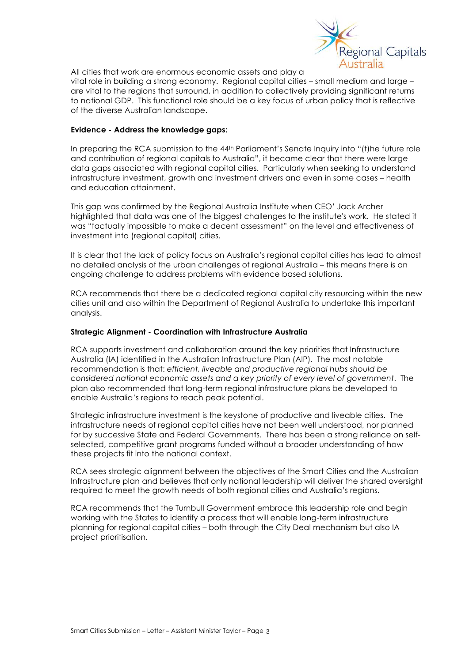

All cities that work are enormous economic assets and play a

vital role in building a strong economy. Regional capital cities – small medium and large – are vital to the regions that surround, in addition to collectively providing significant returns to national GDP. This functional role should be a key focus of urban policy that is reflective of the diverse Australian landscape.

# **Evidence - Address the knowledge gaps:**

In preparing the RCA submission to the 44<sup>th</sup> Parliament's Senate Inquiry into "(t)he future role and contribution of regional capitals to Australia", it became clear that there were large data gaps associated with regional capital cities. Particularly when seeking to understand infrastructure investment, growth and investment drivers and even in some cases – health and education attainment.

This gap was confirmed by the Regional Australia Institute when CEO' Jack Archer highlighted that data was one of the biggest challenges to the institute's work. He stated it was "factually impossible to make a decent assessment" on the level and effectiveness of investment into (regional capital) cities.

It is clear that the lack of policy focus on Australia's regional capital cities has lead to almost no detailed analysis of the urban challenges of regional Australia – this means there is an ongoing challenge to address problems with evidence based solutions.

RCA recommends that there be a dedicated regional capital city resourcing within the new cities unit and also within the Department of Regional Australia to undertake this important analysis.

# **Strategic Alignment - Coordination with Infrastructure Australia**

RCA supports investment and collaboration around the key priorities that Infrastructure Australia (IA) identified in the Australian Infrastructure Plan (AIP). The most notable recommendation is that: *efficient, liveable and productive regional hubs should be considered national economic assets and a key priority of every level of government*. The plan also recommended that long-term regional infrastructure plans be developed to enable Australia's regions to reach peak potential.

Strategic infrastructure investment is the keystone of productive and liveable cities. The infrastructure needs of regional capital cities have not been well understood, nor planned for by successive State and Federal Governments. There has been a strong reliance on selfselected, competitive grant programs funded without a broader understanding of how these projects fit into the national context.

RCA sees strategic alignment between the objectives of the Smart Cities and the Australian Infrastructure plan and believes that only national leadership will deliver the shared oversight required to meet the growth needs of both regional cities and Australia's regions.

RCA recommends that the Turnbull Government embrace this leadership role and begin working with the States to identify a process that will enable long-term infrastructure planning for regional capital cities – both through the City Deal mechanism but also IA project prioritisation.